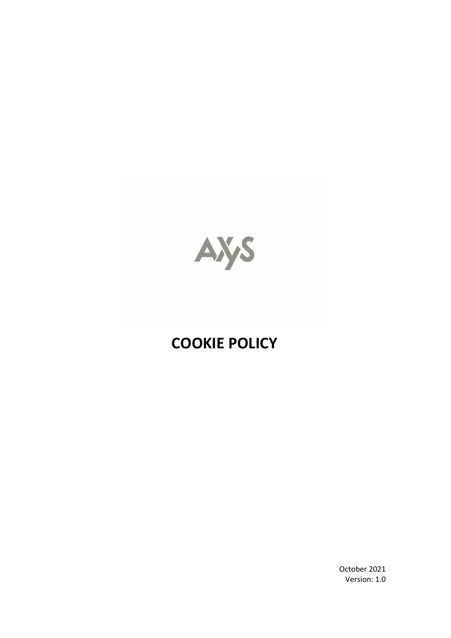

# **COOKIE POLICY**

October 2021 Version: 1.0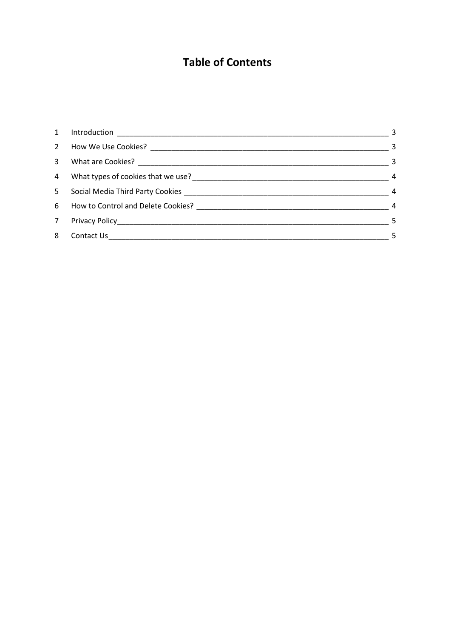## **Table of Contents**

| $\mathbf{1}$   | $\sim$ 3        |
|----------------|-----------------|
| $\overline{2}$ | $\frac{1}{2}$ 3 |
| 3              | $\sim$ 3        |
|                | $\overline{4}$  |
| 5.             | $\overline{4}$  |
| 6              | $\overline{4}$  |
| 7 <sup>7</sup> | $\sim$ 5        |
| 8              |                 |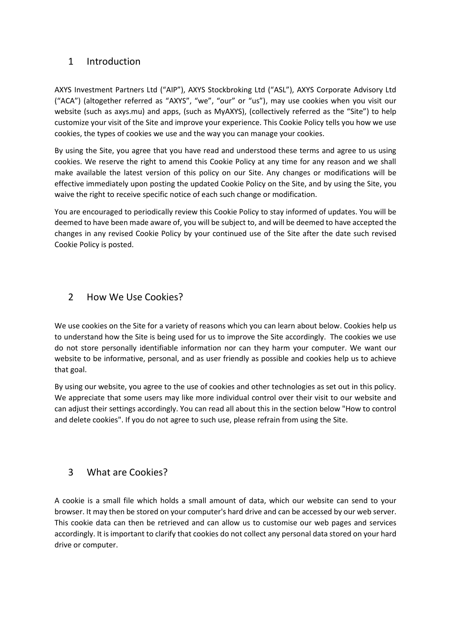#### <span id="page-2-0"></span>1 Introduction

AXYS Investment Partners Ltd ("AIP"), AXYS Stockbroking Ltd ("ASL"), AXYS Corporate Advisory Ltd ("ACA") (altogether referred as "AXYS", "we", "our" or "us"), may use cookies when you visit our website (such as axys.mu) and apps, (such as MyAXYS), (collectively referred as the "Site") to help customize your visit of the Site and improve your experience. This Cookie Policy tells you how we use cookies, the types of cookies we use and the way you can manage your cookies.

By using the Site, you agree that you have read and understood these terms and agree to us using cookies. We reserve the right to amend this Cookie Policy at any time for any reason and we shall make available the latest version of this policy on our Site. Any changes or modifications will be effective immediately upon posting the updated Cookie Policy on the Site, and by using the Site, you waive the right to receive specific notice of each such change or modification.

You are encouraged to periodically review this Cookie Policy to stay informed of updates. You will be deemed to have been made aware of, you will be subject to, and will be deemed to have accepted the changes in any revised Cookie Policy by your continued use of the Site after the date such revised Cookie Policy is posted.

#### <span id="page-2-1"></span>2 How We Use Cookies?

We use cookies on the Site for a variety of reasons which you can learn about below. Cookies help us to understand how the Site is being used for us to improve the Site accordingly. The cookies we use do not store personally identifiable information nor can they harm your computer. We want our website to be informative, personal, and as user friendly as possible and cookies help us to achieve that goal.

By using our website, you agree to the use of cookies and other technologies as set out in this policy. We appreciate that some users may like more individual control over their visit to our website and can adjust their settings accordingly. You can read all about this in the section below "How to control and delete cookies". If you do not agree to such use, please refrain from using the Site.

#### <span id="page-2-2"></span>3 What are Cookies?

A cookie is a small file which holds a small amount of data, which our website can send to your browser. It may then be stored on your computer's hard drive and can be accessed by our web server. This cookie data can then be retrieved and can allow us to customise our web pages and services accordingly. It is important to clarify that cookies do not collect any personal data stored on your hard drive or computer.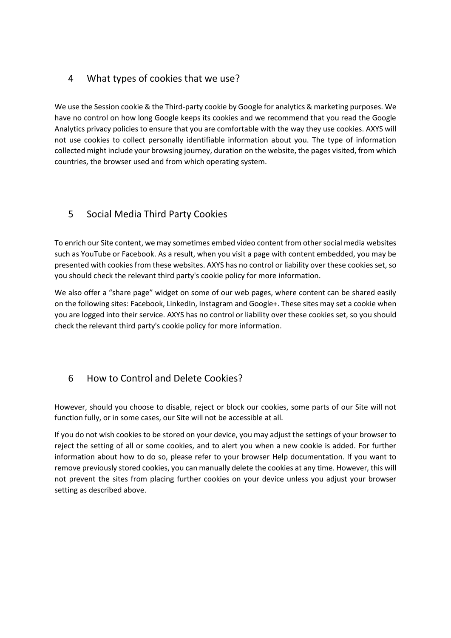#### <span id="page-3-0"></span>4 What types of cookies that we use?

We use the Session cookie & the Third-party cookie by Google for analytics & marketing purposes. We have no control on how long Google keeps its cookies and we recommend that you read the Google Analytics privacy policies to ensure that you are comfortable with the way they use cookies. AXYS will not use cookies to collect personally identifiable information about you. The type of information collected might include your browsing journey, duration on the website, the pages visited, from which countries, the browser used and from which operating system.

#### <span id="page-3-1"></span>5 Social Media Third Party Cookies

To enrich our Site content, we may sometimes embed video content from other social media websites such as YouTube or Facebook. As a result, when you visit a page with content embedded, you may be presented with cookies from these websites. AXYS has no control or liability over these cookies set, so you should check the relevant third party's cookie policy for more information.

We also offer a "share page" widget on some of our web pages, where content can be shared easily on the following sites: Facebook, LinkedIn, Instagram and Google+. These sites may set a cookie when you are logged into their service. AXYS has no control or liability over these cookies set, so you should check the relevant third party's cookie policy for more information.

### <span id="page-3-2"></span>6 How to Control and Delete Cookies?

However, should you choose to disable, reject or block our cookies, some parts of our Site will not function fully, or in some cases, our Site will not be accessible at all.

If you do not wish cookies to be stored on your device, you may adjust the settings of your browser to reject the setting of all or some cookies, and to alert you when a new cookie is added. For further information about how to do so, please refer to your browser Help documentation. If you want to remove previously stored cookies, you can manually delete the cookies at any time. However, this will not prevent the sites from placing further cookies on your device unless you adjust your browser setting as described above.